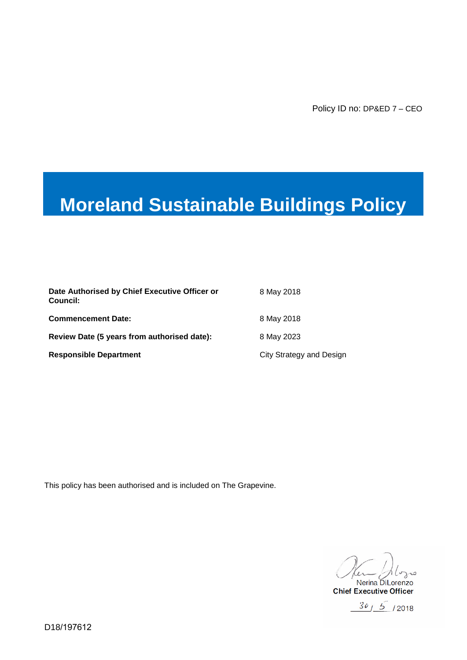# **Moreland Sustainable Buildings Policy**

| Date Authorised by Chief Executive Officer or<br>Council: | 8 May 2018               |
|-----------------------------------------------------------|--------------------------|
| <b>Commencement Date:</b>                                 | 8 May 2018               |
| Review Date (5 years from authorised date):               | 8 May 2023               |
| <b>Responsible Department</b>                             | City Strategy and Design |

This policy has been authorised and is included on The Grapevine.

Ler Aloyne<br>Nerina DiLorenzo ن. ، ر

**Chief Executive Officer** 

 $30/5$  /2018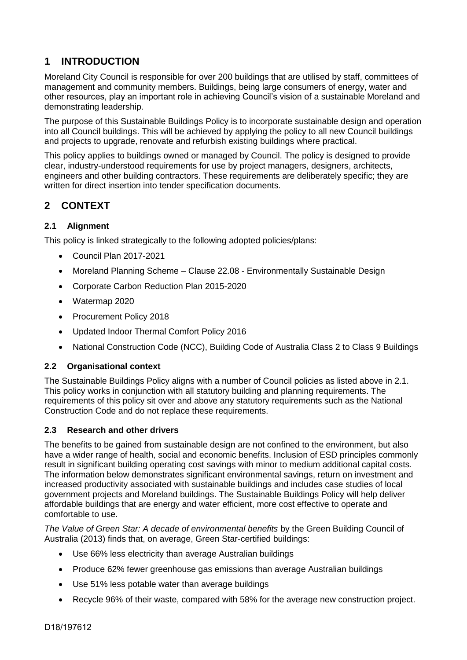# **1 INTRODUCTION**

Moreland City Council is responsible for over 200 buildings that are utilised by staff, committees of management and community members. Buildings, being large consumers of energy, water and other resources, play an important role in achieving Council's vision of a sustainable Moreland and demonstrating leadership.

The purpose of this Sustainable Buildings Policy is to incorporate sustainable design and operation into all Council buildings. This will be achieved by applying the policy to all new Council buildings and projects to upgrade, renovate and refurbish existing buildings where practical.

This policy applies to buildings owned or managed by Council. The policy is designed to provide clear, industry-understood requirements for use by project managers, designers, architects, engineers and other building contractors. These requirements are deliberately specific; they are written for direct insertion into tender specification documents.

# **2 CONTEXT**

#### **2.1 Alignment**

This policy is linked strategically to the following adopted policies/plans:

- Council Plan 2017-2021
- Moreland Planning Scheme Clause 22.08 Environmentally Sustainable Design
- Corporate Carbon Reduction Plan 2015-2020
- Watermap 2020
- Procurement Policy 2018
- Updated Indoor Thermal Comfort Policy 2016
- National Construction Code (NCC), Building Code of Australia Class 2 to Class 9 Buildings

#### **2.2 Organisational context**

The Sustainable Buildings Policy aligns with a number of Council policies as listed above in 2.1. This policy works in conjunction with all statutory building and planning requirements. The requirements of this policy sit over and above any statutory requirements such as the National Construction Code and do not replace these requirements.

#### **2.3 Research and other drivers**

The benefits to be gained from sustainable design are not confined to the environment, but also have a wider range of health, social and economic benefits. Inclusion of ESD principles commonly result in significant building operating cost savings with minor to medium additional capital costs. The information below demonstrates significant environmental savings, return on investment and increased productivity associated with sustainable buildings and includes case studies of local government projects and Moreland buildings. The Sustainable Buildings Policy will help deliver affordable buildings that are energy and water efficient, more cost effective to operate and comfortable to use.

*The Value of Green Star: A decade of environmental benefits* by the Green Building Council of Australia (2013) finds that, on average, Green Star-certified buildings:

- Use 66% less electricity than average Australian buildings
- Produce 62% fewer greenhouse gas emissions than average Australian buildings
- Use 51% less potable water than average buildings
- Recycle 96% of their waste, compared with 58% for the average new construction project.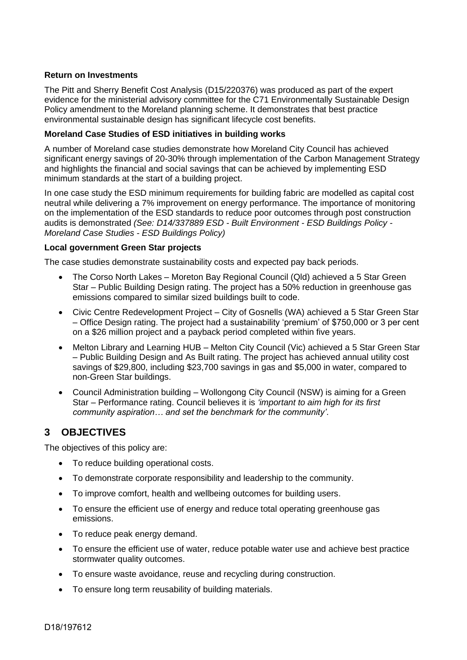#### **Return on Investments**

The [Pitt and Sherry Benefit Cost Analysis](http://www.maddocks.com.au/private/EED/Expert_statement_of_Phil_Harrington.pdf) (D15/220376) was produced as part of the expert evidence for the ministerial advisory committee for the C71 Environmentally Sustainable Design Policy amendment to the Moreland planning scheme. It demonstrates that best practice environmental sustainable design has significant lifecycle cost benefits.

#### **Moreland Case Studies of ESD initiatives in building works**

A number of Moreland case studies demonstrate how Moreland City Council has achieved significant energy savings of 20-30% through implementation of the Carbon Management Strategy and highlights the financial and social savings that can be achieved by implementing ESD minimum standards at the start of a building project.

In one case study the ESD minimum requirements for building fabric are modelled as capital cost neutral while delivering a 7% improvement on energy performance. The importance of monitoring on the implementation of the ESD standards to reduce poor outcomes through post construction audits is demonstrated *(See: D14/337889 ESD - Built Environment - ESD Buildings Policy - Moreland Case Studies - ESD Buildings Policy)*

#### **Local government Green Star projects**

The case studies demonstrate sustainability costs and expected pay back periods.

- The Corso North Lakes Moreton Bay Regional Council (Qld) achieved a 5 Star Green Star – Public Building Design rating. The project has a 50% reduction in greenhouse gas emissions compared to similar sized buildings built to code.
- Civic Centre Redevelopment Project City of Gosnells (WA) achieved a 5 Star Green Star – Office Design rating. The project had a sustainability 'premium' of \$750,000 or 3 per cent on a \$26 million project and a payback period completed within five years.
- Melton Library and Learning HUB Melton City Council (Vic) achieved a 5 Star Green Star – Public Building Design and As Built rating. The project has achieved annual utility cost savings of \$29,800, including \$23,700 savings in gas and \$5,000 in water, compared to non-Green Star buildings.
- Council Administration building Wollongong City Council (NSW) is aiming for a Green Star – Performance rating. Council believes it is *'important to aim high for its first community aspiration… and set the benchmark for the community'*.

## **3 OBJECTIVES**

The objectives of this policy are:

- To reduce building operational costs.
- To demonstrate corporate responsibility and leadership to the community.
- To improve comfort, health and wellbeing outcomes for building users.
- To ensure the efficient use of energy and reduce total operating greenhouse gas emissions.
- To reduce peak energy demand.
- To ensure the efficient use of water, reduce potable water use and achieve best practice stormwater quality outcomes.
- To ensure waste avoidance, reuse and recycling during construction.
- To ensure long term reusability of building materials.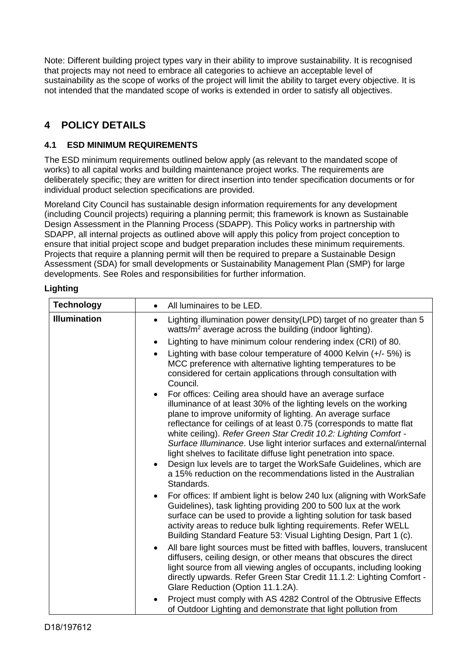Note: Different building project types vary in their ability to improve sustainability. It is recognised that projects may not need to embrace all categories to achieve an acceptable level of sustainability as the scope of works of the project will limit the ability to target every objective. It is not intended that the mandated scope of works is extended in order to satisfy all objectives.

# **4 POLICY DETAILS**

## **4.1 ESD MINIMUM REQUIREMENTS**

The ESD minimum requirements outlined below apply (as relevant to the mandated scope of works) to all capital works and building maintenance project works. The requirements are deliberately specific; they are written for direct insertion into tender specification documents or for individual product selection specifications are provided.

Moreland City Council has sustainable design information requirements for any development (including Council projects) requiring a planning permit; this framework is known as Sustainable Design Assessment in the Planning Process (SDAPP). This Policy works in partnership with SDAPP, all internal projects as outlined above will apply this policy from project conception to ensure that initial project scope and budget preparation includes these minimum requirements. Projects that require a planning permit will then be required to prepare a Sustainable Design Assessment (SDA) for small developments or Sustainability Management Plan (SMP) for large developments. See Roles and responsibilities for further information.

#### **Lighting**

| <b>Technology</b>   | All luminaires to be LED.                                                                                                                                                                                                                                                                                                                                                                                                                                                                                                                                                                                                                      |
|---------------------|------------------------------------------------------------------------------------------------------------------------------------------------------------------------------------------------------------------------------------------------------------------------------------------------------------------------------------------------------------------------------------------------------------------------------------------------------------------------------------------------------------------------------------------------------------------------------------------------------------------------------------------------|
| <b>Illumination</b> | Lighting illumination power density (LPD) target of no greater than 5<br>$\bullet$<br>watts/m <sup>2</sup> average across the building (indoor lighting).                                                                                                                                                                                                                                                                                                                                                                                                                                                                                      |
|                     | Lighting to have minimum colour rendering index (CRI) of 80.<br>$\bullet$                                                                                                                                                                                                                                                                                                                                                                                                                                                                                                                                                                      |
|                     | Lighting with base colour temperature of 4000 Kelvin (+/- 5%) is<br>$\bullet$<br>MCC preference with alternative lighting temperatures to be<br>considered for certain applications through consultation with<br>Council.                                                                                                                                                                                                                                                                                                                                                                                                                      |
|                     | For offices: Ceiling area should have an average surface<br>illuminance of at least 30% of the lighting levels on the working<br>plane to improve uniformity of lighting. An average surface<br>reflectance for ceilings of at least 0.75 (corresponds to matte flat<br>white ceiling). Refer Green Star Credit 10.2: Lighting Comfort -<br>Surface Illuminance. Use light interior surfaces and external/internal<br>light shelves to facilitate diffuse light penetration into space.<br>Design lux levels are to target the WorkSafe Guidelines, which are<br>a 15% reduction on the recommendations listed in the Australian<br>Standards. |
|                     | For offices: If ambient light is below 240 lux (aligning with WorkSafe<br>$\bullet$<br>Guidelines), task lighting providing 200 to 500 lux at the work<br>surface can be used to provide a lighting solution for task based<br>activity areas to reduce bulk lighting requirements. Refer WELL<br>Building Standard Feature 53: Visual Lighting Design, Part 1 (c).<br>All bare light sources must be fitted with baffles, louvers, translucent<br>$\bullet$<br>diffusers, ceiling design, or other means that obscures the direct                                                                                                             |
|                     | light source from all viewing angles of occupants, including looking<br>directly upwards. Refer Green Star Credit 11.1.2: Lighting Comfort -<br>Glare Reduction (Option 11.1.2A).                                                                                                                                                                                                                                                                                                                                                                                                                                                              |
|                     | Project must comply with AS 4282 Control of the Obtrusive Effects<br>of Outdoor Lighting and demonstrate that light pollution from                                                                                                                                                                                                                                                                                                                                                                                                                                                                                                             |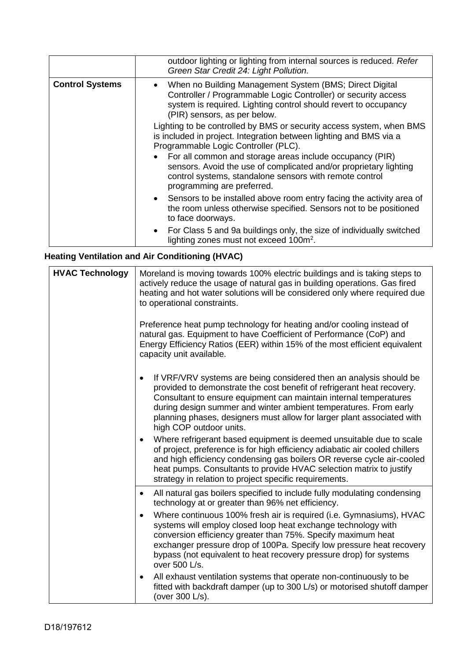|                        | outdoor lighting or lighting from internal sources is reduced. Refer<br>Green Star Credit 24: Light Pollution.                                                                                                               |
|------------------------|------------------------------------------------------------------------------------------------------------------------------------------------------------------------------------------------------------------------------|
| <b>Control Systems</b> | When no Building Management System (BMS; Direct Digital<br>Controller / Programmable Logic Controller) or security access<br>system is required. Lighting control should revert to occupancy<br>(PIR) sensors, as per below. |
|                        | Lighting to be controlled by BMS or security access system, when BMS<br>is included in project. Integration between lighting and BMS via a<br>Programmable Logic Controller (PLC).                                           |
|                        | • For all common and storage areas include occupancy (PIR)<br>sensors. Avoid the use of complicated and/or proprietary lighting<br>control systems, standalone sensors with remote control<br>programming are preferred.     |
|                        | • Sensors to be installed above room entry facing the activity area of<br>the room unless otherwise specified. Sensors not to be positioned<br>to face doorways.                                                             |
|                        | • For Class 5 and 9a buildings only, the size of individually switched<br>lighting zones must not exceed 100m <sup>2</sup> .                                                                                                 |

# **Heating Ventilation and Air Conditioning (HVAC)**

| <b>HVAC Technology</b> | Moreland is moving towards 100% electric buildings and is taking steps to<br>actively reduce the usage of natural gas in building operations. Gas fired<br>heating and hot water solutions will be considered only where required due<br>to operational constraints.                                                                                                                                    |
|------------------------|---------------------------------------------------------------------------------------------------------------------------------------------------------------------------------------------------------------------------------------------------------------------------------------------------------------------------------------------------------------------------------------------------------|
|                        | Preference heat pump technology for heating and/or cooling instead of<br>natural gas. Equipment to have Coefficient of Performance (CoP) and<br>Energy Efficiency Ratios (EER) within 15% of the most efficient equivalent<br>capacity unit available.                                                                                                                                                  |
|                        | If VRF/VRV systems are being considered then an analysis should be<br>$\bullet$<br>provided to demonstrate the cost benefit of refrigerant heat recovery.<br>Consultant to ensure equipment can maintain internal temperatures<br>during design summer and winter ambient temperatures. From early<br>planning phases, designers must allow for larger plant associated with<br>high COP outdoor units. |
|                        | Where refrigerant based equipment is deemed unsuitable due to scale<br>$\bullet$<br>of project, preference is for high efficiency adiabatic air cooled chillers<br>and high efficiency condensing gas boilers OR reverse cycle air-cooled<br>heat pumps. Consultants to provide HVAC selection matrix to justify<br>strategy in relation to project specific requirements.                              |
|                        | All natural gas boilers specified to include fully modulating condensing<br>$\bullet$<br>technology at or greater than 96% net efficiency.                                                                                                                                                                                                                                                              |
|                        | Where continuous 100% fresh air is required (i.e. Gymnasiums), HVAC<br>$\bullet$<br>systems will employ closed loop heat exchange technology with<br>conversion efficiency greater than 75%. Specify maximum heat<br>exchanger pressure drop of 100Pa. Specify low pressure heat recovery<br>bypass (not equivalent to heat recovery pressure drop) for systems<br>over 500 L/s.                        |
|                        | All exhaust ventilation systems that operate non-continuously to be<br>fitted with backdraft damper (up to 300 L/s) or motorised shutoff damper<br>(over 300 L/s).                                                                                                                                                                                                                                      |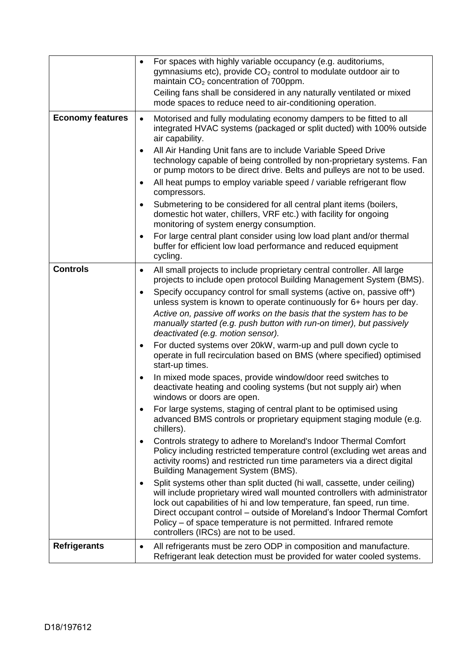|                         | For spaces with highly variable occupancy (e.g. auditoriums,<br>$\bullet$<br>gymnasiums etc), provide CO <sub>2</sub> control to modulate outdoor air to<br>maintain CO <sub>2</sub> concentration of 700ppm.                                                                                                                                                                                                                       |
|-------------------------|-------------------------------------------------------------------------------------------------------------------------------------------------------------------------------------------------------------------------------------------------------------------------------------------------------------------------------------------------------------------------------------------------------------------------------------|
|                         | Ceiling fans shall be considered in any naturally ventilated or mixed<br>mode spaces to reduce need to air-conditioning operation.                                                                                                                                                                                                                                                                                                  |
| <b>Economy features</b> | Motorised and fully modulating economy dampers to be fitted to all<br>$\bullet$<br>integrated HVAC systems (packaged or split ducted) with 100% outside<br>air capability.                                                                                                                                                                                                                                                          |
|                         | All Air Handing Unit fans are to include Variable Speed Drive<br>$\bullet$<br>technology capable of being controlled by non-proprietary systems. Fan<br>or pump motors to be direct drive. Belts and pulleys are not to be used.                                                                                                                                                                                                    |
|                         | All heat pumps to employ variable speed / variable refrigerant flow<br>$\bullet$<br>compressors.                                                                                                                                                                                                                                                                                                                                    |
|                         | Submetering to be considered for all central plant items (boilers,<br>$\bullet$<br>domestic hot water, chillers, VRF etc.) with facility for ongoing<br>monitoring of system energy consumption.                                                                                                                                                                                                                                    |
|                         | For large central plant consider using low load plant and/or thermal<br>$\bullet$<br>buffer for efficient low load performance and reduced equipment<br>cycling.                                                                                                                                                                                                                                                                    |
| <b>Controls</b>         | All small projects to include proprietary central controller. All large<br>$\bullet$<br>projects to include open protocol Building Management System (BMS).                                                                                                                                                                                                                                                                         |
|                         | Specify occupancy control for small systems (active on, passive off*)<br>$\bullet$<br>unless system is known to operate continuously for 6+ hours per day.                                                                                                                                                                                                                                                                          |
|                         | Active on, passive off works on the basis that the system has to be<br>manually started (e.g. push button with run-on timer), but passively<br>deactivated (e.g. motion sensor).                                                                                                                                                                                                                                                    |
|                         | For ducted systems over 20kW, warm-up and pull down cycle to<br>$\bullet$<br>operate in full recirculation based on BMS (where specified) optimised<br>start-up times.                                                                                                                                                                                                                                                              |
|                         | In mixed mode spaces, provide window/door reed switches to<br>$\bullet$<br>deactivate heating and cooling systems (but not supply air) when<br>windows or doors are open.                                                                                                                                                                                                                                                           |
|                         | For large systems, staging of central plant to be optimised using<br>advanced BMS controls or proprietary equipment staging module (e.g.<br>chillers).                                                                                                                                                                                                                                                                              |
|                         | Controls strategy to adhere to Moreland's Indoor Thermal Comfort<br>$\bullet$<br>Policy including restricted temperature control (excluding wet areas and<br>activity rooms) and restricted run time parameters via a direct digital<br>Building Management System (BMS).                                                                                                                                                           |
|                         | Split systems other than split ducted (hi wall, cassette, under ceiling)<br>$\bullet$<br>will include proprietary wired wall mounted controllers with administrator<br>lock out capabilities of hi and low temperature, fan speed, run time.<br>Direct occupant control – outside of Moreland's Indoor Thermal Comfort<br>Policy – of space temperature is not permitted. Infrared remote<br>controllers (IRCs) are not to be used. |
| <b>Refrigerants</b>     | All refrigerants must be zero ODP in composition and manufacture.<br>$\bullet$<br>Refrigerant leak detection must be provided for water cooled systems.                                                                                                                                                                                                                                                                             |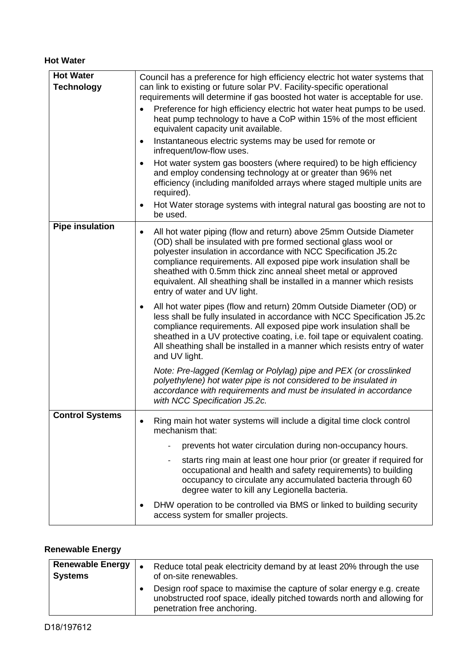#### **Hot Water**

| <b>Hot Water</b>       | Council has a preference for high efficiency electric hot water systems that                                                                                                                                                                                                                                                                                                                                                                                   |
|------------------------|----------------------------------------------------------------------------------------------------------------------------------------------------------------------------------------------------------------------------------------------------------------------------------------------------------------------------------------------------------------------------------------------------------------------------------------------------------------|
| <b>Technology</b>      | can link to existing or future solar PV. Facility-specific operational<br>requirements will determine if gas boosted hot water is acceptable for use.<br>Preference for high efficiency electric hot water heat pumps to be used.<br>heat pump technology to have a CoP within 15% of the most efficient<br>equivalent capacity unit available.                                                                                                                |
|                        | Instantaneous electric systems may be used for remote or<br>$\bullet$<br>infrequent/low-flow uses.                                                                                                                                                                                                                                                                                                                                                             |
|                        | Hot water system gas boosters (where required) to be high efficiency<br>٠<br>and employ condensing technology at or greater than 96% net<br>efficiency (including manifolded arrays where staged multiple units are<br>required).                                                                                                                                                                                                                              |
|                        | Hot Water storage systems with integral natural gas boosting are not to<br>٠<br>be used.                                                                                                                                                                                                                                                                                                                                                                       |
| <b>Pipe insulation</b> | All hot water piping (flow and return) above 25mm Outside Diameter<br>٠<br>(OD) shall be insulated with pre formed sectional glass wool or<br>polyester insulation in accordance with NCC Specification J5.2c<br>compliance requirements. All exposed pipe work insulation shall be<br>sheathed with 0.5mm thick zinc anneal sheet metal or approved<br>equivalent. All sheathing shall be installed in a manner which resists<br>entry of water and UV light. |
|                        | All hot water pipes (flow and return) 20mm Outside Diameter (OD) or<br>less shall be fully insulated in accordance with NCC Specification J5.2c<br>compliance requirements. All exposed pipe work insulation shall be<br>sheathed in a UV protective coating, i.e. foil tape or equivalent coating.<br>All sheathing shall be installed in a manner which resists entry of water<br>and UV light.                                                              |
|                        | Note: Pre-lagged (Kemlag or Polylag) pipe and PEX (or crosslinked<br>polyethylene) hot water pipe is not considered to be insulated in<br>accordance with requirements and must be insulated in accordance<br>with NCC Specification J5.2c.                                                                                                                                                                                                                    |
| <b>Control Systems</b> | Ring main hot water systems will include a digital time clock control<br>mechanism that:                                                                                                                                                                                                                                                                                                                                                                       |
|                        | prevents hot water circulation during non-occupancy hours.                                                                                                                                                                                                                                                                                                                                                                                                     |
|                        | starts ring main at least one hour prior (or greater if required for<br>$\overline{\phantom{0}}$<br>occupational and health and safety requirements) to building<br>occupancy to circulate any accumulated bacteria through 60<br>degree water to kill any Legionella bacteria.                                                                                                                                                                                |
|                        | DHW operation to be controlled via BMS or linked to building security<br>access system for smaller projects.                                                                                                                                                                                                                                                                                                                                                   |

# **Renewable Energy**

| <b>Renewable Energy</b><br><b>Systems</b> | Reduce total peak electricity demand by at least 20% through the use<br>of on-site renewables.                                                                                  |
|-------------------------------------------|---------------------------------------------------------------------------------------------------------------------------------------------------------------------------------|
|                                           | Design roof space to maximise the capture of solar energy e.g. create<br>unobstructed roof space, ideally pitched towards north and allowing for<br>penetration free anchoring. |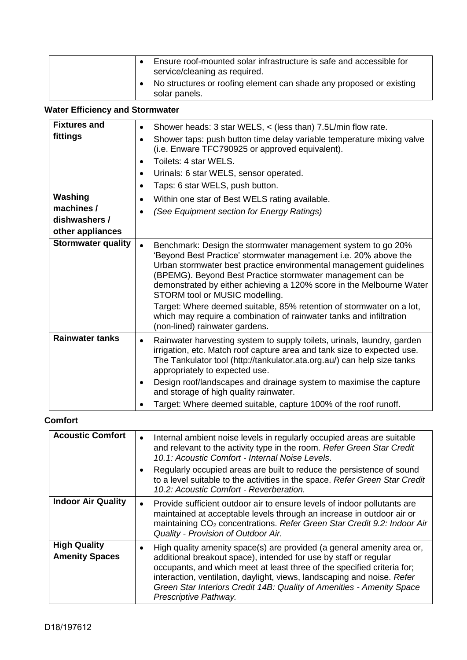|  | Ensure roof-mounted solar infrastructure is safe and accessible for<br>service/cleaning as required. |
|--|------------------------------------------------------------------------------------------------------|
|  | No structures or roofing element can shade any proposed or existing<br>solar panels.                 |

# **Water Efficiency and Stormwater**

| <b>Fixtures and</b><br>fittings                            | Shower heads: 3 star WELS, < (less than) 7.5L/min flow rate.<br>$\bullet$<br>Shower taps: push button time delay variable temperature mixing valve<br>$\bullet$<br>(i.e. Enware TFC790925 or approved equivalent).<br>Toilets: 4 star WELS.<br>$\bullet$<br>Urinals: 6 star WELS, sensor operated.<br>$\bullet$<br>Taps: 6 star WELS, push button.<br>$\bullet$                                                                                                                                                                                                |
|------------------------------------------------------------|----------------------------------------------------------------------------------------------------------------------------------------------------------------------------------------------------------------------------------------------------------------------------------------------------------------------------------------------------------------------------------------------------------------------------------------------------------------------------------------------------------------------------------------------------------------|
| Washing<br>machines /<br>dishwashers /<br>other appliances | Within one star of Best WELS rating available.<br>$\bullet$<br>(See Equipment section for Energy Ratings)<br>$\bullet$                                                                                                                                                                                                                                                                                                                                                                                                                                         |
| <b>Stormwater quality</b>                                  | Benchmark: Design the stormwater management system to go 20%<br>'Beyond Best Practice' stormwater management i.e. 20% above the<br>Urban stormwater best practice environmental management guidelines<br>(BPEMG). Beyond Best Practice stormwater management can be<br>demonstrated by either achieving a 120% score in the Melbourne Water<br>STORM tool or MUSIC modelling.<br>Target: Where deemed suitable, 85% retention of stormwater on a lot,<br>which may require a combination of rainwater tanks and infiltration<br>(non-lined) rainwater gardens. |
| <b>Rainwater tanks</b>                                     | Rainwater harvesting system to supply toilets, urinals, laundry, garden<br>$\bullet$<br>irrigation, etc. Match roof capture area and tank size to expected use.<br>The Tankulator tool (http://tankulator.ata.org.au/) can help size tanks<br>appropriately to expected use.<br>Design roof/landscapes and drainage system to maximise the capture<br>and storage of high quality rainwater.<br>Target: Where deemed suitable, capture 100% of the roof runoff.                                                                                                |

# **Comfort**

| <b>Acoustic Comfort</b>                      | Internal ambient noise levels in regularly occupied areas are suitable<br>$\bullet$<br>and relevant to the activity type in the room. Refer Green Star Credit<br>10.1: Acoustic Comfort - Internal Noise Levels.<br>Regularly occupied areas are built to reduce the persistence of sound<br>to a level suitable to the activities in the space. Refer Green Star Credit                                |
|----------------------------------------------|---------------------------------------------------------------------------------------------------------------------------------------------------------------------------------------------------------------------------------------------------------------------------------------------------------------------------------------------------------------------------------------------------------|
|                                              | 10.2: Acoustic Comfort - Reverberation.                                                                                                                                                                                                                                                                                                                                                                 |
| <b>Indoor Air Quality</b>                    | Provide sufficient outdoor air to ensure levels of indoor pollutants are<br>$\bullet$<br>maintained at acceptable levels through an increase in outdoor air or<br>maintaining CO <sub>2</sub> concentrations. Refer Green Star Credit 9.2: Indoor Air<br>Quality - Provision of Outdoor Air.                                                                                                            |
| <b>High Quality</b><br><b>Amenity Spaces</b> | High quality amenity space(s) are provided (a general amenity area or,<br>٠<br>additional breakout space), intended for use by staff or regular<br>occupants, and which meet at least three of the specified criteria for;<br>interaction, ventilation, daylight, views, landscaping and noise. Refer<br>Green Star Interiors Credit 14B: Quality of Amenities - Amenity Space<br>Prescriptive Pathway. |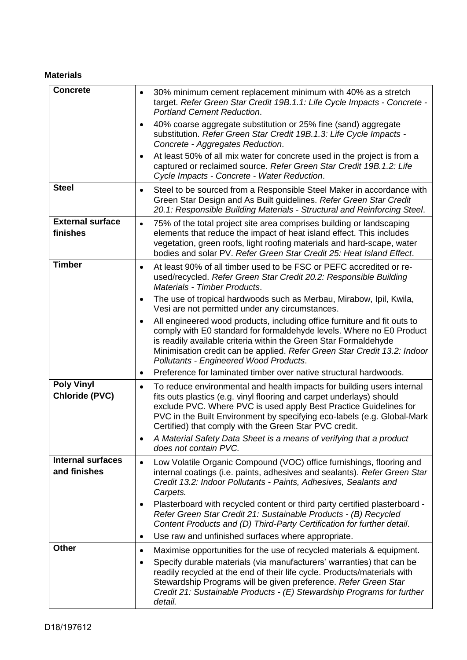# **Materials**

| <b>Concrete</b>                            | 30% minimum cement replacement minimum with 40% as a stretch<br>$\bullet$<br>target. Refer Green Star Credit 19B.1.1: Life Cycle Impacts - Concrete -<br><b>Portland Cement Reduction.</b>                                                                                                                                                                            |
|--------------------------------------------|-----------------------------------------------------------------------------------------------------------------------------------------------------------------------------------------------------------------------------------------------------------------------------------------------------------------------------------------------------------------------|
|                                            | 40% coarse aggregate substitution or 25% fine (sand) aggregate<br>$\bullet$<br>substitution. Refer Green Star Credit 19B.1.3: Life Cycle Impacts -<br>Concrete - Aggregates Reduction.                                                                                                                                                                                |
|                                            | At least 50% of all mix water for concrete used in the project is from a<br>٠<br>captured or reclaimed source. Refer Green Star Credit 19B.1.2: Life<br>Cycle Impacts - Concrete - Water Reduction.                                                                                                                                                                   |
| <b>Steel</b>                               | Steel to be sourced from a Responsible Steel Maker in accordance with<br>$\bullet$<br>Green Star Design and As Built guidelines. Refer Green Star Credit<br>20.1: Responsible Building Materials - Structural and Reinforcing Steel.                                                                                                                                  |
| <b>External surface</b><br>finishes        | 75% of the total project site area comprises building or landscaping<br>$\bullet$<br>elements that reduce the impact of heat island effect. This includes<br>vegetation, green roofs, light roofing materials and hard-scape, water<br>bodies and solar PV. Refer Green Star Credit 25: Heat Island Effect.                                                           |
| <b>Timber</b>                              | At least 90% of all timber used to be FSC or PEFC accredited or re-<br>٠<br>used/recycled. Refer Green Star Credit 20.2: Responsible Building<br>Materials - Timber Products.                                                                                                                                                                                         |
|                                            | The use of tropical hardwoods such as Merbau, Mirabow, Ipil, Kwila,<br>٠<br>Vesi are not permitted under any circumstances.                                                                                                                                                                                                                                           |
|                                            | All engineered wood products, including office furniture and fit outs to<br>$\bullet$<br>comply with E0 standard for formaldehyde levels. Where no E0 Product<br>is readily available criteria within the Green Star Formaldehyde<br>Minimisation credit can be applied. Refer Green Star Credit 13.2: Indoor<br>Pollutants - Engineered Wood Products.               |
|                                            | Preference for laminated timber over native structural hardwoods.                                                                                                                                                                                                                                                                                                     |
| <b>Poly Vinyl</b><br><b>Chloride (PVC)</b> | To reduce environmental and health impacts for building users internal<br>$\bullet$<br>fits outs plastics (e.g. vinyl flooring and carpet underlays) should<br>exclude PVC. Where PVC is used apply Best Practice Guidelines for<br>PVC in the Built Environment by specifying eco-labels (e.g. Global-Mark<br>Certified) that comply with the Green Star PVC credit. |
|                                            | A Material Safety Data Sheet is a means of verifying that a product<br>does not contain PVC.                                                                                                                                                                                                                                                                          |
| <b>Internal surfaces</b><br>and finishes   | Low Volatile Organic Compound (VOC) office furnishings, flooring and<br>$\bullet$<br>internal coatings (i.e. paints, adhesives and sealants). Refer Green Star<br>Credit 13.2: Indoor Pollutants - Paints, Adhesives, Sealants and<br>Carpets.                                                                                                                        |
|                                            | Plasterboard with recycled content or third party certified plasterboard -<br>$\bullet$<br>Refer Green Star Credit 21: Sustainable Products - (B) Recycled<br>Content Products and (D) Third-Party Certification for further detail.                                                                                                                                  |
|                                            | Use raw and unfinished surfaces where appropriate.<br>٠                                                                                                                                                                                                                                                                                                               |
| <b>Other</b>                               | Maximise opportunities for the use of recycled materials & equipment.<br>٠                                                                                                                                                                                                                                                                                            |
|                                            | Specify durable materials (via manufacturers' warranties) that can be<br>٠<br>readily recycled at the end of their life cycle. Products/materials with<br>Stewardship Programs will be given preference. Refer Green Star<br>Credit 21: Sustainable Products - (E) Stewardship Programs for further<br>detail.                                                        |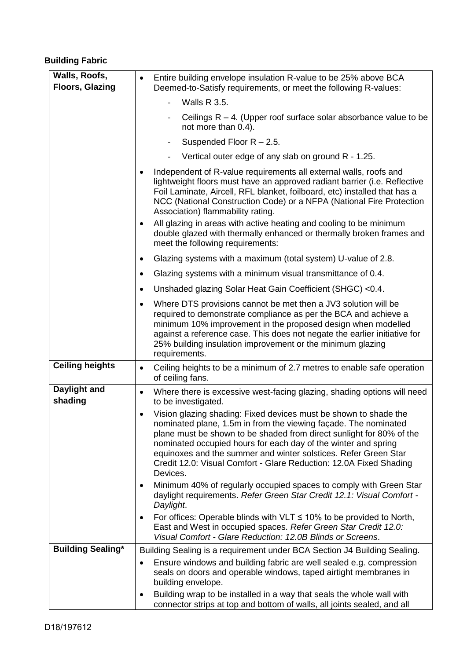# **Building Fabric**

| Walls, Roofs,<br><b>Floors, Glazing</b> | Entire building envelope insulation R-value to be 25% above BCA<br>$\bullet$<br>Deemed-to-Satisfy requirements, or meet the following R-values:                                                                                                                                                                                                                                                                                                 |
|-----------------------------------------|-------------------------------------------------------------------------------------------------------------------------------------------------------------------------------------------------------------------------------------------------------------------------------------------------------------------------------------------------------------------------------------------------------------------------------------------------|
|                                         | <b>Walls R 3.5.</b><br>$\overline{\phantom{0}}$                                                                                                                                                                                                                                                                                                                                                                                                 |
|                                         | Ceilings $R - 4$ . (Upper roof surface solar absorbance value to be<br>$\overline{\phantom{a}}$<br>not more than 0.4).                                                                                                                                                                                                                                                                                                                          |
|                                         | Suspended Floor $R - 2.5$ .                                                                                                                                                                                                                                                                                                                                                                                                                     |
|                                         | Vertical outer edge of any slab on ground R - 1.25.                                                                                                                                                                                                                                                                                                                                                                                             |
|                                         | Independent of R-value requirements all external walls, roofs and<br>lightweight floors must have an approved radiant barrier (i.e. Reflective<br>Foil Laminate, Aircell, RFL blanket, foilboard, etc) installed that has a<br>NCC (National Construction Code) or a NFPA (National Fire Protection<br>Association) flammability rating.                                                                                                        |
|                                         | All glazing in areas with active heating and cooling to be minimum<br>٠<br>double glazed with thermally enhanced or thermally broken frames and<br>meet the following requirements:                                                                                                                                                                                                                                                             |
|                                         | Glazing systems with a maximum (total system) U-value of 2.8.<br>$\bullet$                                                                                                                                                                                                                                                                                                                                                                      |
|                                         | Glazing systems with a minimum visual transmittance of 0.4.<br>٠                                                                                                                                                                                                                                                                                                                                                                                |
|                                         | Unshaded glazing Solar Heat Gain Coefficient (SHGC) <0.4.<br>٠                                                                                                                                                                                                                                                                                                                                                                                  |
|                                         | Where DTS provisions cannot be met then a JV3 solution will be<br>$\bullet$<br>required to demonstrate compliance as per the BCA and achieve a<br>minimum 10% improvement in the proposed design when modelled<br>against a reference case. This does not negate the earlier initiative for<br>25% building insulation improvement or the minimum glazing<br>requirements.                                                                      |
| <b>Ceiling heights</b>                  | Ceiling heights to be a minimum of 2.7 metres to enable safe operation<br>$\bullet$<br>of ceiling fans.                                                                                                                                                                                                                                                                                                                                         |
| Daylight and<br>shading                 | Where there is excessive west-facing glazing, shading options will need<br>$\bullet$<br>to be investigated.                                                                                                                                                                                                                                                                                                                                     |
|                                         | Vision glazing shading: Fixed devices must be shown to shade the<br>$\bullet$<br>nominated plane, 1.5m in from the viewing façade. The nominated<br>plane must be shown to be shaded from direct sunlight for 80% of the<br>nominated occupied hours for each day of the winter and spring<br>equinoxes and the summer and winter solstices. Refer Green Star<br>Credit 12.0: Visual Comfort - Glare Reduction: 12.0A Fixed Shading<br>Devices. |
|                                         | Minimum 40% of regularly occupied spaces to comply with Green Star<br>$\bullet$<br>daylight requirements. Refer Green Star Credit 12.1: Visual Comfort -<br>Daylight.                                                                                                                                                                                                                                                                           |
|                                         | For offices: Operable blinds with VLT $\leq$ 10% to be provided to North,<br>$\bullet$<br>East and West in occupied spaces. Refer Green Star Credit 12.0:<br>Visual Comfort - Glare Reduction: 12.0B Blinds or Screens.                                                                                                                                                                                                                         |
| <b>Building Sealing*</b>                | Building Sealing is a requirement under BCA Section J4 Building Sealing.                                                                                                                                                                                                                                                                                                                                                                        |
|                                         | Ensure windows and building fabric are well sealed e.g. compression<br>$\bullet$<br>seals on doors and operable windows, taped airtight membranes in<br>building envelope.                                                                                                                                                                                                                                                                      |
|                                         | Building wrap to be installed in a way that seals the whole wall with<br>٠<br>connector strips at top and bottom of walls, all joints sealed, and all                                                                                                                                                                                                                                                                                           |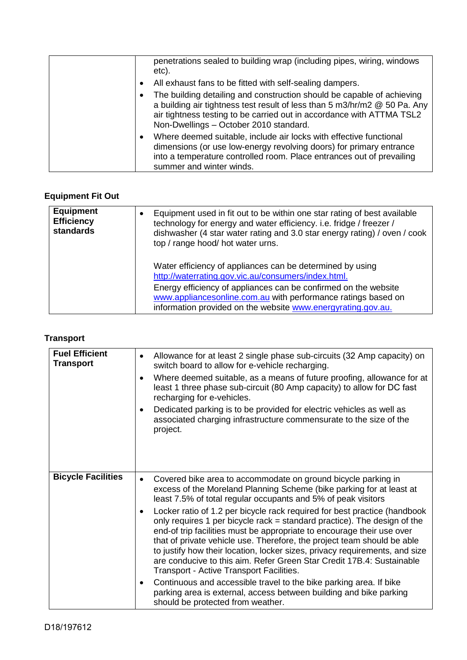| penetrations sealed to building wrap (including pipes, wiring, windows<br>etc).                                                                                                                                                                                        |
|------------------------------------------------------------------------------------------------------------------------------------------------------------------------------------------------------------------------------------------------------------------------|
| All exhaust fans to be fitted with self-sealing dampers.<br>$\bullet$                                                                                                                                                                                                  |
| The building detailing and construction should be capable of achieving<br>a building air tightness test result of less than 5 m3/hr/m2 @ 50 Pa. Any<br>air tightness testing to be carried out in accordance with ATTMA TSL2<br>Non-Dwellings - October 2010 standard. |
| Where deemed suitable, include air locks with effective functional<br>$\bullet$<br>dimensions (or use low-energy revolving doors) for primary entrance<br>into a temperature controlled room. Place entrances out of prevailing<br>summer and winter winds.            |

# **Equipment Fit Out**

| <b>Equipment</b><br><b>Efficiency</b><br>standards | Equipment used in fit out to be within one star rating of best available<br>technology for energy and water efficiency. i.e. fridge / freezer /<br>dishwasher (4 star water rating and 3.0 star energy rating) / oven / cook<br>top / range hood/ hot water urns. |
|----------------------------------------------------|-------------------------------------------------------------------------------------------------------------------------------------------------------------------------------------------------------------------------------------------------------------------|
|                                                    | Water efficiency of appliances can be determined by using<br>http://waterrating.gov.vic.au/consumers/index.html.                                                                                                                                                  |
|                                                    | Energy efficiency of appliances can be confirmed on the website<br>www.appliancesonline.com.au with performance ratings based on<br>information provided on the website www.energyrating.gov.au.                                                                  |

## **Transport**

| <b>Fuel Efficient</b><br><b>Transport</b> | Allowance for at least 2 single phase sub-circuits (32 Amp capacity) on<br>$\bullet$<br>switch board to allow for e-vehicle recharging.<br>Where deemed suitable, as a means of future proofing, allowance for at<br>$\bullet$<br>least 1 three phase sub-circuit (80 Amp capacity) to allow for DC fast<br>recharging for e-vehicles.<br>Dedicated parking is to be provided for electric vehicles as well as<br>$\bullet$<br>associated charging infrastructure commensurate to the size of the<br>project.                                                                                                                 |
|-------------------------------------------|-------------------------------------------------------------------------------------------------------------------------------------------------------------------------------------------------------------------------------------------------------------------------------------------------------------------------------------------------------------------------------------------------------------------------------------------------------------------------------------------------------------------------------------------------------------------------------------------------------------------------------|
| <b>Bicycle Facilities</b>                 | Covered bike area to accommodate on ground bicycle parking in<br>$\bullet$<br>excess of the Moreland Planning Scheme (bike parking for at least at<br>least 7.5% of total regular occupants and 5% of peak visitors<br>Locker ratio of 1.2 per bicycle rack required for best practice (handbook<br>$\bullet$<br>only requires 1 per bicycle rack = standard practice). The design of the<br>end-of trip facilities must be appropriate to encourage their use over<br>that of private vehicle use. Therefore, the project team should be able<br>to justify how their location, locker sizes, privacy requirements, and size |
|                                           | are conducive to this aim. Refer Green Star Credit 17B.4: Sustainable<br>Transport - Active Transport Facilities.<br>Continuous and accessible travel to the bike parking area. If bike<br>$\bullet$<br>parking area is external, access between building and bike parking                                                                                                                                                                                                                                                                                                                                                    |
|                                           | should be protected from weather.                                                                                                                                                                                                                                                                                                                                                                                                                                                                                                                                                                                             |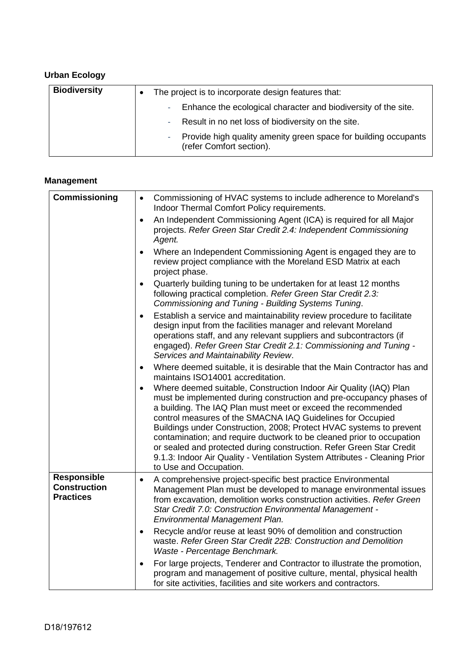# **Urban Ecology**

| <b>Biodiversity</b> | The project is to incorporate design features that:                                                      |  |
|---------------------|----------------------------------------------------------------------------------------------------------|--|
|                     | Enhance the ecological character and biodiversity of the site.<br>$\sim 10$                              |  |
|                     | - Result in no net loss of biodiversity on the site.                                                     |  |
|                     | Provide high quality amenity green space for building occupants<br>$\sim 10$<br>(refer Comfort section). |  |

## **Management**

| Commissioning                                                 | Commissioning of HVAC systems to include adherence to Moreland's<br>$\bullet$<br>Indoor Thermal Comfort Policy requirements.                                                                                                                                                                                                                                                                                                                                                                                                                                                                                        |
|---------------------------------------------------------------|---------------------------------------------------------------------------------------------------------------------------------------------------------------------------------------------------------------------------------------------------------------------------------------------------------------------------------------------------------------------------------------------------------------------------------------------------------------------------------------------------------------------------------------------------------------------------------------------------------------------|
|                                                               | An Independent Commissioning Agent (ICA) is required for all Major<br>$\bullet$<br>projects. Refer Green Star Credit 2.4: Independent Commissioning<br>Agent.                                                                                                                                                                                                                                                                                                                                                                                                                                                       |
|                                                               | Where an Independent Commissioning Agent is engaged they are to<br>$\bullet$<br>review project compliance with the Moreland ESD Matrix at each<br>project phase.                                                                                                                                                                                                                                                                                                                                                                                                                                                    |
|                                                               | Quarterly building tuning to be undertaken for at least 12 months<br>$\bullet$<br>following practical completion. Refer Green Star Credit 2.3:<br>Commissioning and Tuning - Building Systems Tuning.                                                                                                                                                                                                                                                                                                                                                                                                               |
|                                                               | Establish a service and maintainability review procedure to facilitate<br>$\bullet$<br>design input from the facilities manager and relevant Moreland<br>operations staff, and any relevant suppliers and subcontractors (if<br>engaged). Refer Green Star Credit 2.1: Commissioning and Tuning -<br>Services and Maintainability Review.                                                                                                                                                                                                                                                                           |
|                                                               | Where deemed suitable, it is desirable that the Main Contractor has and<br>$\bullet$<br>maintains ISO14001 accreditation.                                                                                                                                                                                                                                                                                                                                                                                                                                                                                           |
|                                                               | Where deemed suitable, Construction Indoor Air Quality (IAQ) Plan<br>$\bullet$<br>must be implemented during construction and pre-occupancy phases of<br>a building. The IAQ Plan must meet or exceed the recommended<br>control measures of the SMACNA IAQ Guidelines for Occupied<br>Buildings under Construction, 2008; Protect HVAC systems to prevent<br>contamination; and require ductwork to be cleaned prior to occupation<br>or sealed and protected during construction. Refer Green Star Credit<br>9.1.3: Indoor Air Quality - Ventilation System Attributes - Cleaning Prior<br>to Use and Occupation. |
| <b>Responsible</b><br><b>Construction</b><br><b>Practices</b> | A comprehensive project-specific best practice Environmental<br>$\bullet$<br>Management Plan must be developed to manage environmental issues<br>from excavation, demolition works construction activities. Refer Green<br>Star Credit 7.0: Construction Environmental Management -<br>Environmental Management Plan.                                                                                                                                                                                                                                                                                               |
|                                                               | Recycle and/or reuse at least 90% of demolition and construction<br>$\bullet$<br>waste. Refer Green Star Credit 22B: Construction and Demolition<br>Waste - Percentage Benchmark.                                                                                                                                                                                                                                                                                                                                                                                                                                   |
|                                                               | For large projects, Tenderer and Contractor to illustrate the promotion,<br>$\bullet$<br>program and management of positive culture, mental, physical health<br>for site activities, facilities and site workers and contractors.                                                                                                                                                                                                                                                                                                                                                                                   |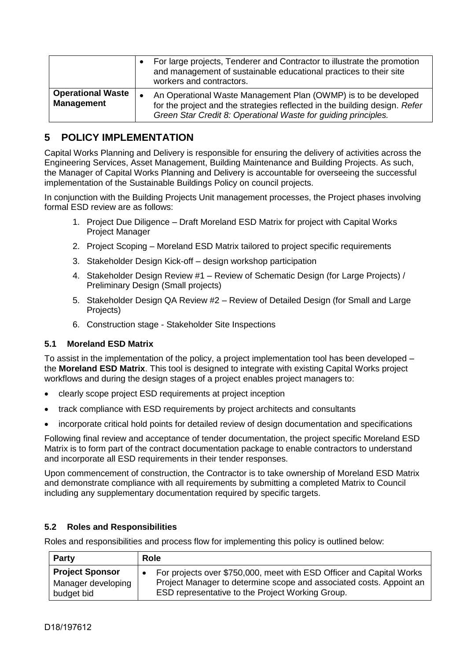|                                               | For large projects, Tenderer and Contractor to illustrate the promotion<br>and management of sustainable educational practices to their site<br>workers and contractors.                                       |
|-----------------------------------------------|----------------------------------------------------------------------------------------------------------------------------------------------------------------------------------------------------------------|
| <b>Operational Waste</b><br><b>Management</b> | An Operational Waste Management Plan (OWMP) is to be developed<br>for the project and the strategies reflected in the building design. Refer<br>Green Star Credit 8: Operational Waste for guiding principles. |

# **5 POLICY IMPLEMENTATION**

Capital Works Planning and Delivery is responsible for ensuring the delivery of activities across the Engineering Services, Asset Management, Building Maintenance and Building Projects. As such, the Manager of Capital Works Planning and Delivery is accountable for overseeing the successful implementation of the Sustainable Buildings Policy on council projects.

In conjunction with the Building Projects Unit management processes, the Project phases involving formal ESD review are as follows:

- 1. Project Due Diligence Draft Moreland ESD Matrix for project with Capital Works Project Manager
- 2. Project Scoping Moreland ESD Matrix tailored to project specific requirements
- 3. Stakeholder Design Kick-off design workshop participation
- 4. Stakeholder Design Review #1 Review of Schematic Design (for Large Projects) / Preliminary Design (Small projects)
- 5. Stakeholder Design QA Review #2 Review of Detailed Design (for Small and Large Projects)
- 6. Construction stage Stakeholder Site Inspections

#### **5.1 Moreland ESD Matrix**

To assist in the implementation of the policy, a project implementation tool has been developed – the **Moreland ESD Matrix**. This tool is designed to integrate with existing Capital Works project workflows and during the design stages of a project enables project managers to:

- clearly scope project ESD requirements at project inception
- track compliance with ESD requirements by project architects and consultants
- incorporate critical hold points for detailed review of design documentation and specifications

Following final review and acceptance of tender documentation, the project specific Moreland ESD Matrix is to form part of the contract documentation package to enable contractors to understand and incorporate all ESD requirements in their tender responses.

Upon commencement of construction, the Contractor is to take ownership of Moreland ESD Matrix and demonstrate compliance with all requirements by submitting a completed Matrix to Council including any supplementary documentation required by specific targets.

#### **5.2 Roles and Responsibilities**

Roles and responsibilities and process flow for implementing this policy is outlined below:

| <b>Party</b>           | <b>Role</b>                                                          |  |
|------------------------|----------------------------------------------------------------------|--|
| <b>Project Sponsor</b> | For projects over \$750,000, meet with ESD Officer and Capital Works |  |
| Manager developing     | Project Manager to determine scope and associated costs. Appoint an  |  |
| budget bid             | ESD representative to the Project Working Group.                     |  |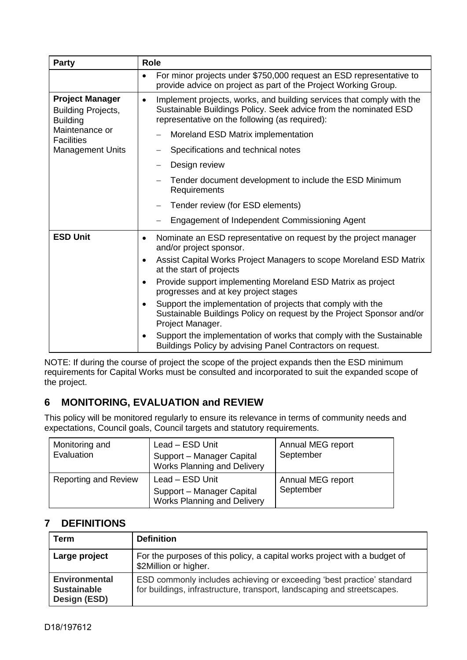| Party                                                                  | <b>Role</b>                                                                                                                                                                                              |  |
|------------------------------------------------------------------------|----------------------------------------------------------------------------------------------------------------------------------------------------------------------------------------------------------|--|
|                                                                        | For minor projects under \$750,000 request an ESD representative to<br>$\bullet$<br>provide advice on project as part of the Project Working Group.                                                      |  |
| <b>Project Manager</b><br><b>Building Projects,</b><br><b>Building</b> | Implement projects, works, and building services that comply with the<br>$\bullet$<br>Sustainable Buildings Policy. Seek advice from the nominated ESD<br>representative on the following (as required): |  |
| Maintenance or<br><b>Facilities</b>                                    | Moreland ESD Matrix implementation                                                                                                                                                                       |  |
| <b>Management Units</b>                                                | Specifications and technical notes                                                                                                                                                                       |  |
|                                                                        | Design review                                                                                                                                                                                            |  |
|                                                                        | Tender document development to include the ESD Minimum<br>Requirements                                                                                                                                   |  |
|                                                                        | Tender review (for ESD elements)                                                                                                                                                                         |  |
|                                                                        | Engagement of Independent Commissioning Agent                                                                                                                                                            |  |
| <b>ESD Unit</b>                                                        | Nominate an ESD representative on request by the project manager<br>$\bullet$<br>and/or project sponsor.                                                                                                 |  |
|                                                                        | Assist Capital Works Project Managers to scope Moreland ESD Matrix<br>$\bullet$<br>at the start of projects                                                                                              |  |
|                                                                        | Provide support implementing Moreland ESD Matrix as project<br>$\bullet$<br>progresses and at key project stages                                                                                         |  |
|                                                                        | Support the implementation of projects that comply with the<br>$\bullet$<br>Sustainable Buildings Policy on request by the Project Sponsor and/or<br>Project Manager.                                    |  |
|                                                                        | Support the implementation of works that comply with the Sustainable<br>$\bullet$<br>Buildings Policy by advising Panel Contractors on request.                                                          |  |

NOTE: If during the course of project the scope of the project expands then the ESD minimum requirements for Capital Works must be consulted and incorporated to suit the expanded scope of the project.

# **6 MONITORING, EVALUATION and REVIEW**

This policy will be monitored regularly to ensure its relevance in terms of community needs and expectations, Council goals, Council targets and statutory requirements.

| Monitoring and<br>Evaluation | Lead - ESD Unit<br>Support - Manager Capital<br><b>Works Planning and Delivery</b> | Annual MEG report<br>September |
|------------------------------|------------------------------------------------------------------------------------|--------------------------------|
| <b>Reporting and Review</b>  | Lead - ESD Unit<br>Support - Manager Capital<br><b>Works Planning and Delivery</b> | Annual MEG report<br>September |

# **7 DEFINITIONS**

| Term                                                       | <b>Definition</b>                                                                                                                                |
|------------------------------------------------------------|--------------------------------------------------------------------------------------------------------------------------------------------------|
| Large project                                              | For the purposes of this policy, a capital works project with a budget of<br>\$2Million or higher.                                               |
| <b>Environmental</b><br><b>Sustainable</b><br>Design (ESD) | ESD commonly includes achieving or exceeding 'best practice' standard<br>for buildings, infrastructure, transport, landscaping and streetscapes. |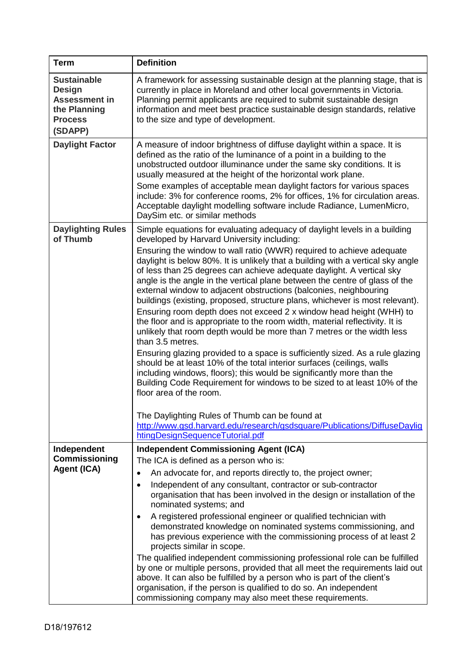| <b>Term</b>                                                                                              | <b>Definition</b>                                                                                                                                                                                                                                                                                                                                                                                                                                                                                                                                                                                                                                                                                                                                                                                                                                                                                                                                                                                                                                                                                                                                                                                                                                                                                                                                                |  |  |
|----------------------------------------------------------------------------------------------------------|------------------------------------------------------------------------------------------------------------------------------------------------------------------------------------------------------------------------------------------------------------------------------------------------------------------------------------------------------------------------------------------------------------------------------------------------------------------------------------------------------------------------------------------------------------------------------------------------------------------------------------------------------------------------------------------------------------------------------------------------------------------------------------------------------------------------------------------------------------------------------------------------------------------------------------------------------------------------------------------------------------------------------------------------------------------------------------------------------------------------------------------------------------------------------------------------------------------------------------------------------------------------------------------------------------------------------------------------------------------|--|--|
| <b>Sustainable</b><br><b>Design</b><br><b>Assessment in</b><br>the Planning<br><b>Process</b><br>(SDAPP) | A framework for assessing sustainable design at the planning stage, that is<br>currently in place in Moreland and other local governments in Victoria.<br>Planning permit applicants are required to submit sustainable design<br>information and meet best practice sustainable design standards, relative<br>to the size and type of development.                                                                                                                                                                                                                                                                                                                                                                                                                                                                                                                                                                                                                                                                                                                                                                                                                                                                                                                                                                                                              |  |  |
| <b>Daylight Factor</b>                                                                                   | A measure of indoor brightness of diffuse daylight within a space. It is<br>defined as the ratio of the luminance of a point in a building to the<br>unobstructed outdoor illuminance under the same sky conditions. It is<br>usually measured at the height of the horizontal work plane.<br>Some examples of acceptable mean daylight factors for various spaces<br>include: 3% for conference rooms, 2% for offices, 1% for circulation areas.<br>Acceptable daylight modelling software include Radiance, LumenMicro,<br>DaySim etc. or similar methods                                                                                                                                                                                                                                                                                                                                                                                                                                                                                                                                                                                                                                                                                                                                                                                                      |  |  |
| <b>Daylighting Rules</b><br>of Thumb                                                                     | Simple equations for evaluating adequacy of daylight levels in a building<br>developed by Harvard University including:<br>Ensuring the window to wall ratio (WWR) required to achieve adequate<br>daylight is below 80%. It is unlikely that a building with a vertical sky angle<br>of less than 25 degrees can achieve adequate daylight. A vertical sky<br>angle is the angle in the vertical plane between the centre of glass of the<br>external window to adjacent obstructions (balconies, neighbouring<br>buildings (existing, proposed, structure plans, whichever is most relevant).<br>Ensuring room depth does not exceed 2 x window head height (WHH) to<br>the floor and is appropriate to the room width, material reflectivity. It is<br>unlikely that room depth would be more than 7 metres or the width less<br>than 3.5 metres.<br>Ensuring glazing provided to a space is sufficiently sized. As a rule glazing<br>should be at least 10% of the total interior surfaces (ceilings, walls<br>including windows, floors); this would be significantly more than the<br>Building Code Requirement for windows to be sized to at least 10% of the<br>floor area of the room.<br>The Daylighting Rules of Thumb can be found at<br>http://www.gsd.harvard.edu/research/gsdsquare/Publications/DiffuseDaylig<br>htingDesignSequenceTutorial.pdf |  |  |
| Independent<br><b>Commissioning</b><br><b>Agent (ICA)</b>                                                | <b>Independent Commissioning Agent (ICA)</b><br>The ICA is defined as a person who is:<br>An advocate for, and reports directly to, the project owner;<br>$\bullet$<br>Independent of any consultant, contractor or sub-contractor<br>$\bullet$<br>organisation that has been involved in the design or installation of the<br>nominated systems; and<br>A registered professional engineer or qualified technician with<br>$\bullet$<br>demonstrated knowledge on nominated systems commissioning, and<br>has previous experience with the commissioning process of at least 2<br>projects similar in scope.<br>The qualified independent commissioning professional role can be fulfilled<br>by one or multiple persons, provided that all meet the requirements laid out<br>above. It can also be fulfilled by a person who is part of the client's<br>organisation, if the person is qualified to do so. An independent<br>commissioning company may also meet these requirements.                                                                                                                                                                                                                                                                                                                                                                           |  |  |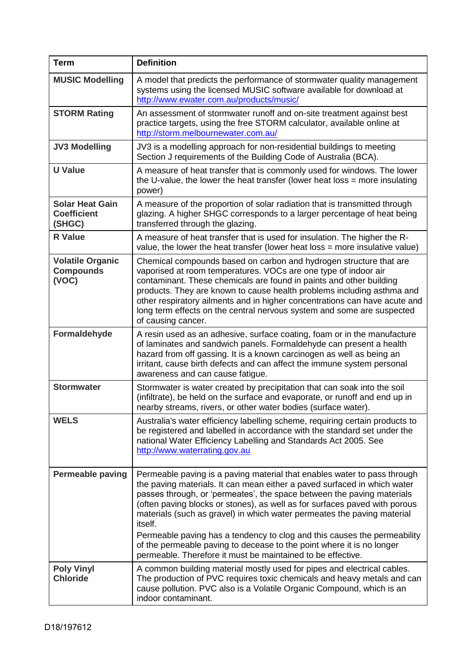| <b>Term</b>                                            | <b>Definition</b>                                                                                                                                                                                                                                                                                                                                                                                                                                                                                                                                                                                                      |  |
|--------------------------------------------------------|------------------------------------------------------------------------------------------------------------------------------------------------------------------------------------------------------------------------------------------------------------------------------------------------------------------------------------------------------------------------------------------------------------------------------------------------------------------------------------------------------------------------------------------------------------------------------------------------------------------------|--|
| <b>MUSIC Modelling</b>                                 | A model that predicts the performance of stormwater quality management<br>systems using the licensed MUSIC software available for download at<br>http://www.ewater.com.au/products/music/                                                                                                                                                                                                                                                                                                                                                                                                                              |  |
| <b>STORM Rating</b>                                    | An assessment of stormwater runoff and on-site treatment against best<br>practice targets, using the free STORM calculator, available online at<br>http://storm.melbournewater.com.au/                                                                                                                                                                                                                                                                                                                                                                                                                                 |  |
| <b>JV3 Modelling</b>                                   | JV3 is a modelling approach for non-residential buildings to meeting<br>Section J requirements of the Building Code of Australia (BCA).                                                                                                                                                                                                                                                                                                                                                                                                                                                                                |  |
| <b>U</b> Value                                         | A measure of heat transfer that is commonly used for windows. The lower<br>the U-value, the lower the heat transfer (lower heat loss $=$ more insulating<br>power)                                                                                                                                                                                                                                                                                                                                                                                                                                                     |  |
| <b>Solar Heat Gain</b><br><b>Coefficient</b><br>(SHGC) | A measure of the proportion of solar radiation that is transmitted through<br>glazing. A higher SHGC corresponds to a larger percentage of heat being<br>transferred through the glazing.                                                                                                                                                                                                                                                                                                                                                                                                                              |  |
| <b>R</b> Value                                         | A measure of heat transfer that is used for insulation. The higher the R-<br>value, the lower the heat transfer (lower heat loss = more insulative value)                                                                                                                                                                                                                                                                                                                                                                                                                                                              |  |
| <b>Volatile Organic</b><br><b>Compounds</b><br>(VOC)   | Chemical compounds based on carbon and hydrogen structure that are<br>vaporised at room temperatures. VOCs are one type of indoor air<br>contaminant. These chemicals are found in paints and other building<br>products. They are known to cause health problems including asthma and<br>other respiratory ailments and in higher concentrations can have acute and<br>long term effects on the central nervous system and some are suspected<br>of causing cancer.                                                                                                                                                   |  |
| Formaldehyde                                           | A resin used as an adhesive, surface coating, foam or in the manufacture<br>of laminates and sandwich panels. Formaldehyde can present a health<br>hazard from off gassing. It is a known carcinogen as well as being an<br>irritant, cause birth defects and can affect the immune system personal<br>awareness and can cause fatigue.                                                                                                                                                                                                                                                                                |  |
| <b>Stormwater</b>                                      | Stormwater is water created by precipitation that can soak into the soil<br>(infiltrate), be held on the surface and evaporate, or runoff and end up in<br>nearby streams, rivers, or other water bodies (surface water).                                                                                                                                                                                                                                                                                                                                                                                              |  |
| <b>WELS</b>                                            | Australia's water efficiency labelling scheme, requiring certain products to<br>be registered and labelled in accordance with the standard set under the<br>national Water Efficiency Labelling and Standards Act 2005. See<br>http://www.waterrating.gov.au                                                                                                                                                                                                                                                                                                                                                           |  |
| <b>Permeable paving</b>                                | Permeable paving is a paving material that enables water to pass through<br>the paving materials. It can mean either a paved surfaced in which water<br>passes through, or 'permeates', the space between the paving materials<br>(often paving blocks or stones), as well as for surfaces paved with porous<br>materials (such as gravel) in which water permeates the paving material<br>itself.<br>Permeable paving has a tendency to clog and this causes the permeability<br>of the permeable paving to decease to the point where it is no longer<br>permeable. Therefore it must be maintained to be effective. |  |
| <b>Poly Vinyl</b><br><b>Chloride</b>                   | A common building material mostly used for pipes and electrical cables.<br>The production of PVC requires toxic chemicals and heavy metals and can<br>cause pollution. PVC also is a Volatile Organic Compound, which is an<br>indoor contaminant.                                                                                                                                                                                                                                                                                                                                                                     |  |